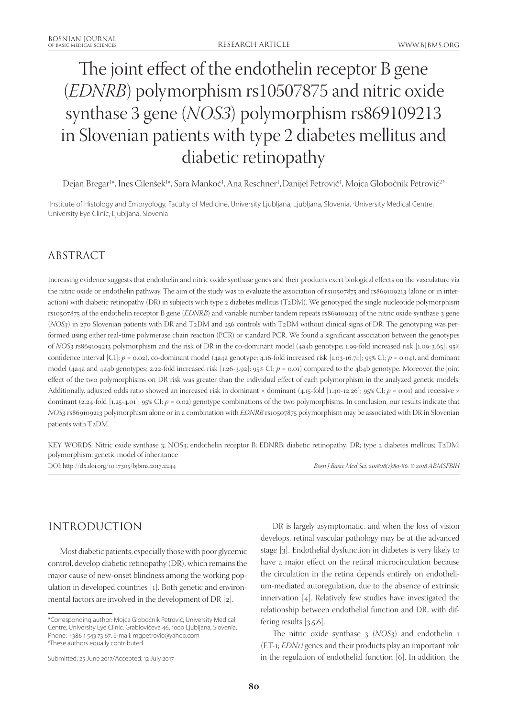# The joint effect of the endothelin receptor B gene (*EDNRB*) polymorphism rs10507875 and nitric oxide synthase 3 gene (*NOS3*) polymorphism rs869109213 in Slovenian patients with type 2 diabetes mellitus and diabetic retinopathy

Dejan Bregar<sup>1#</sup>, Ines Cilenšek<sup>1#</sup>, Sara Mankoč<sup>1</sup>, Ana Reschner<sup>1</sup>, Danijel Petrovič<sup>1</sup>, Mojca Globočnik Petrovič<sup>2\*</sup>

1 Institute of Histology and Embryology, Faculty of Medicine, University Ljubljana, Ljubljana, Slovenia, 2 University Medical Centre, University Eye Clinic, Ljubljana, Slovenia

# ABSTRACT

Increasing evidence suggests that endothelin and nitric oxide synthase genes and their products exert biological effects on the vasculature via the nitric oxide or endothelin pathway. The aim of the study was to evaluate the association of rs10507875 and rs869109213 (alone or in interaction) with diabetic retinopathy (DR) in subjects with type 2 diabetes mellitus (T2DM). We genotyped the single nucleotide polymorphism rs10507875 of the endothelin receptor B gene (*EDNRB*) and variable number tandem repeats rs869109213 of the nitric oxide synthase 3 gene (*NOS3*) in 270 Slovenian patients with DR and T2DM and 256 controls with T2DM without clinical signs of DR. The genotyping was performed using either real**-**time polymerase chain reaction (PCR) or standard PCR. We found a significant association between the genotypes of *NOS3* rs869109213 polymorphism and the risk of DR in the co-dominant model (4a4b genotype; 1.99-fold increased risk [1.09-3.65]; 95% confidence interval [CI]; *p* = 0.02), co-dominant model (4a4a genotype; 4.16-fold increased risk [1.03-16.74]; 95% CI; *p* = 0.04), and dominant model (4a4a and 4a4b genotypes; 2.22-fold increased risk [1.26-3.92]; 95% CI; *p* = 0.01) compared to the 4b4b genotype. Moreover, the joint effect of the two polymorphisms on DR risk was greater than the individual effect of each polymorphism in the analyzed genetic models. Additionally, adjusted odds ratio showed an increased risk in dominant × dominant (4.15-fold [1.40-12.26]; 95% CI;  $p = 0.01$ ) and recessive × dominant (2.24-fold [1.25-4.01]; 95% CI;  $p = 0.02$ ) genotype combinations of the two polymorphisms. In conclusion, our results indicate that *NOS3* rs869109213 polymorphism alone or in a combination with *EDNRB* rs10507875 polymorphism may be associated with DR in Slovenian patients with T2DM.

KEY WORDS: Nitric oxide synthase 3; NOS3; endothelin receptor B; EDNRB; diabetic retinopathy; DR; type 2 diabetes mellitus; T2DM; polymorphism; genetic model of inheritance DOI: http://dx.doi.org/10.17305/bjbms.2017.2244 *Bosn J Basic Med Sci. 2018;18(1):80-86. © 2018 ABMSFBIH*

# INTRODUCTION

Most diabetic patients, especially those with poor glycemic control, develop diabetic retinopathy (DR), which remains the major cause of new-onset blindness among the working population in developed countries [1]. Both genetic and environmental factors are involved in the development of DR [2].

DR is largely asymptomatic, and when the loss of vision develops, retinal vascular pathology may be at the advanced stage [3]. Endothelial dysfunction in diabetes is very likely to have a major effect on the retinal microcirculation because the circulation in the retina depends entirely on endothelium-mediated autoregulation, due to the absence of extrinsic innervation [4]. Relatively few studies have investigated the relationship between endothelial function and DR, with differing results  $[3,5,6]$ .

The nitric oxide synthase 3 (*NOS3*) and endothelin 1 (ET-1; *EDN1)* genes and their products play an important role in the regulation of endothelial function [6]. In addition, the

<sup>\*</sup>Corresponding author: Mojca Globočnik Petrovič, University Medical Centre, University Eye Clinic, Grablovičeva 46, 1000 Ljubljana, Slovenia. Phone: +386 1 543 73 67. E-mail: mgpetrovic@yahoo.com # These authors equally contributed

Submitted: 25 June 2017/Accepted: 12 July 2017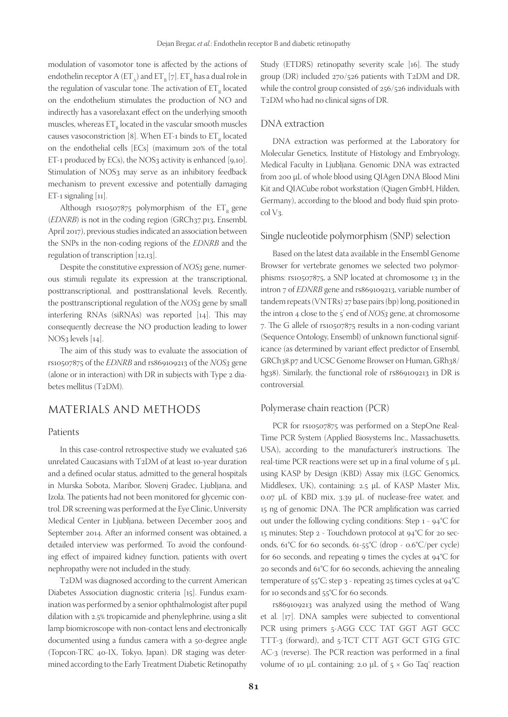modulation of vasomotor tone is affected by the actions of endothelin receptor A  $(ET_{\rm A})$  and  $ET_{\rm B}$  [7].  $ET_{\rm B}$  has a dual role in the regulation of vascular tone. The activation of  $\mathsf{ET}_\mathsf{B}$  located on the endothelium stimulates the production of NO and indirectly has a vasorelaxant effect on the underlying smooth muscles, whereas  $\mathsf{ET}_\mathsf{B}$  located in the vascular smooth muscles causes vasoconstriction [8]. When ET-1 binds to  $ET_{B}$  located on the endothelial cells [ECs] (maximum 20% of the total ET-1 produced by ECs), the NOS3 activity is enhanced  $[9,10]$ . Stimulation of NOS<sub>3</sub> may serve as an inhibitory feedback mechanism to prevent excessive and potentially damaging ET-1 signaling  $[11]$ .

Although rs10507875 polymorphism of the  $ET_B$  gene (*EDNRB*) is not in the coding region (GRCh37.p13, Ensembl, April 2017), previous studies indicated an association between the SNPs in the non-coding regions of the *EDNRB* and the regulation of transcription [12,13].

Despite the constitutive expression of *NOS3* gene, numerous stimuli regulate its expression at the transcriptional, posttranscriptional, and posttranslational levels. Recently, the posttranscriptional regulation of the *NOS3* gene by small interfering RNAs (siRNAs) was reported [14]. This may consequently decrease the NO production leading to lower NOS3 levels [14].

The aim of this study was to evaluate the association of rs10507875 of the *EDNRB* and rs869109213 of the *NOS3* gene (alone or in interaction) with DR in subjects with Type 2 diabetes mellitus (T2DM).

# MATERIALS AND METHODS

#### Patients

In this case-control retrospective study we evaluated 526 unrelated Caucasians with T2DM of at least 10-year duration and a defined ocular status, admitted to the general hospitals in Murska Sobota, Maribor, Slovenj Gradec, Ljubljana, and Izola. The patients had not been monitored for glycemic control. DR screening was performed at the Eye Clinic, University Medical Center in Ljubljana, between December 2005 and September 2014. After an informed consent was obtained, a detailed interview was performed. To avoid the confounding effect of impaired kidney function, patients with overt nephropathy were not included in the study.

T2DM was diagnosed according to the current American Diabetes Association diagnostic criteria [15]. Fundus examination was performed by a senior ophthalmologist after pupil dilation with 2.5% tropicamide and phenylephrine, using a slit lamp biomicroscope with non-contact lens and electronically documented using a fundus camera with a 50-degree angle (Topcon-TRC 40-IX, Tokyo, Japan). DR staging was determined according to the Early Treatment Diabetic Retinopathy

Study (ETDRS) retinopathy severity scale [16]. The study group (DR) included 270/526 patients with T2DM and DR, while the control group consisted of 256/526 individuals with T2DM who had no clinical signs of DR.

#### DNA extraction

DNA extraction was performed at the Laboratory for Molecular Genetics, Institute of Histology and Embryology, Medical Faculty in Ljubljana. Genomic DNA was extracted from 200 µL of whole blood using QIAgen DNA Blood Mini Kit and QIACube robot workstation (Qiagen GmbH, Hilden, Germany), according to the blood and body fluid spin protocol V3.

#### Single nucleotide polymorphism (SNP) selection

Based on the latest data available in the Ensembl Genome Browser for vertebrate genomes we selected two polymorphisms: rs10507875, a SNP located at chromosome 13 in the intron 7 of *EDNRB* gene and rs869109213, variable number of tandem repeats (VNTRs) 27 base pairs (bp) long, positioned in the intron 4 close to the 5' end of *NOS3* gene, at chromosome 7. The G allele of rs10507875 results in a non-coding variant (Sequence Ontology, Ensembl) of unknown functional significance (as determined by variant effect predictor of Ensembl, GRCh38.p7 and UCSC Genome Browser on Human, GRh38/ hg38). Similarly, the functional role of rs869109213 in DR is controversial.

#### Polymerase chain reaction (PCR)

PCR for rs10507875 was performed on a StepOne Real-Time PCR System (Applied Biosystems Inc., Massachusetts, USA), according to the manufacturer's instructions. The real-time PCR reactions were set up in a final volume of  $5 \mu L$ using KASP by Design (KBD) Assay mix (LGC Genomics, Middlesex, UK), containing: 2.5 µL of KASP Master Mix, 0.07 µL of KBD mix, 3.39 µL of nuclease-free water, and 15 ng of genomic DNA. The PCR amplification was carried out under the following cycling conditions: Step 1 - 94°C for 15 minutes; Step 2 - Touchdown protocol at 94°C for 20 seconds, 61°C for 60 seconds, 61-55°C (drop - 0.6°C/per cycle) for 60 seconds, and repeating 9 times the cycles at  $94^{\circ}$ C for 20 seconds and 61°C for 60 seconds, achieving the annealing temperature of 55°C; step 3 - repeating 25 times cycles at 94°C for 10 seconds and 55°C for 60 seconds.

rs869109213 was analyzed using the method of Wang et al. [17]. DNA samples were subjected to conventional PCR using primers 5-AGG CCC TAT GGT AGT GCC TTT-3 (forward), and 5-TCT CTT AGT GCT GTG GTC AC-3 (reverse). The PCR reaction was performed in a final volume of 10  $\mu$ L containing: 2.0  $\mu$ L of  $5 \times$  Go Taq<sup>®</sup> reaction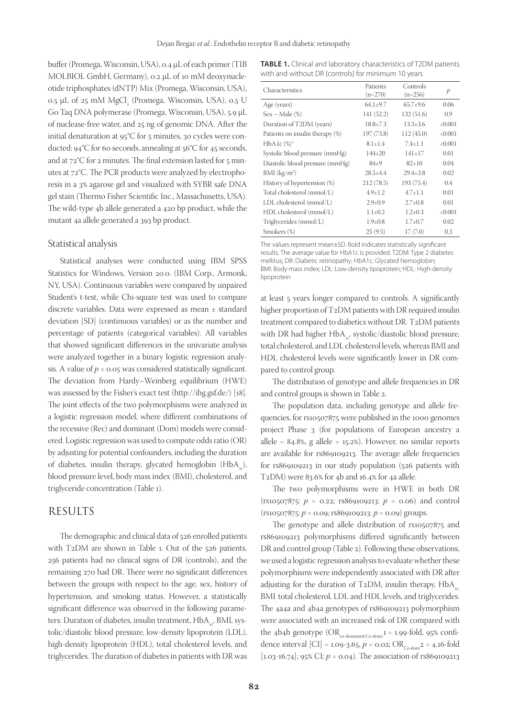buffer (Promega, Wisconsin, USA), 0.4 µL of each primer (TIB MOLBIOL GmbH, Germany), 0.2 µL of 10 mM deoxynucleotide triphosphates (dNTP) Mix (Promega, Wisconsin, USA),  $0.5$  µL of 25 mM MgCl<sub>2</sub> (Promega, Wisconsin, USA),  $0.5$  U Go Taq DNA polymerase (Promega, Wisconsin, USA), 5.9 µL of nuclease-free water, and 25 ng of genomic DNA. After the initial denaturation at 95°C for 5 minutes, 30 cycles were conducted: 94°C for 60 seconds, annealing at 56°C for 45 seconds, and at 72°C for 2 minutes. The final extension lasted for 5 minutes at 72°C. The PCR products were analyzed by electrophoresis in a 3% agarose gel and visualized with SYBR safe DNA gel stain (Thermo Fisher Scientific Inc., Massachusetts, USA). The wild-type 4b allele generated a 420 bp product, while the mutant 4a allele generated a 393 bp product.

#### Statistical analysis

Statistical analyses were conducted using IBM SPSS Statistics for Windows, Version 20.0. (IBM Corp., Armonk, NY, USA). Continuous variables were compared by unpaired Student's t-test, while Chi-square test was used to compare discrete variables. Data were expressed as mean ± standard deviation [SD] (continuous variables) or as the number and percentage of patients (categorical variables). All variables that showed significant differences in the univariate analysis were analyzed together in a binary logistic regression analysis. A value of  $p < 0.05$  was considered statistically significant. The deviation from Hardy–Weinberg equilibrium (HWE) was assessed by the Fisher's exact test (http://ihg.gsf.de/) [18]. The joint effects of the two polymorphisms were analyzed in a logistic regression model, where different combinations of the recessive (Rec) and dominant (Dom) models were considered. Logistic regression was used to compute odds ratio (OR) by adjusting for potential confounders, including the duration of diabetes, insulin therapy, glycated hemoglobin  $(HbA_{1c})$ , blood pressure level, body mass index (BMI), cholesterol, and triglyceride concentration (Table 1).

## RESULTS

The demographic and clinical data of 526 enrolled patients with T2DM are shown in Table 1. Out of the 526 patients, 256 patients had no clinical signs of DR (controls), and the remaining 270 had DR. There were no significant differences between the groups with respect to the age, sex, history of hypertension, and smoking status. However, a statistically significant difference was observed in the following parameters: Duration of diabetes, insulin treatment, HbA<sub>1</sub>, BMI, systolic/diastolic blood pressure, low-density lipoprotein (LDL), high-density lipoprotein (HDL), total cholesterol levels, and triglycerides. The duration of diabetes in patients with DR was

**TABLE 1.** Clinical and laboratory characteristics of T2DM patients with and without DR (controls) for minimum 10 years

| Characteristics                 | Patients<br>$(n=270)$ | Controls<br>$(n=256)$ | p       |
|---------------------------------|-----------------------|-----------------------|---------|
| Age (years)                     | $64.1 \pm 9.7$        | $65.7+9.6$            | 0.06    |
| $Sex - Male$ $%$                | 141 (52.2)            | 132 (51.6)            | 0.9     |
| Duration of T2DM (years)        | $18.8 \pm 7.3$        | $13.3 + 3.6$          | < 0.001 |
| Patients on insulin therapy (%) | 197 (73.8)            | 112(45.0)             | < 0.001 |
| $HbA1c$ $(\%)^*$                | $8.1 + 1.4$           | $7.4 + 1.1$           | < 0.001 |
| Systolic blood pressure (mmHg)  | $144 + 20$            | $141 + 17$            | 0.01    |
| Diastolic blood pressure (mmHg) | $84+9$                | $82+10$               | 0.04    |
| $BMI$ (kg/m <sup>2</sup> )      | $28.5 + 4.4$          | $29.4 + 3.8$          | 0.02    |
| History of hypertension (%)     | 212(78.5)             | 193 (75.4)            | 0.4     |
| Total cholesterol (mmol/L)      | $4.9 \pm 1.2$         | $4.7 + 1.1$           | 0.01    |
| LDL cholesterol (mmol/L)        | $2.9 \pm 0.9$         | $2.7+0.8$             | 0.01    |
| HDL cholesterol (mmol/L)        | $1.1 \pm 0.2$         | $1.2 + 0.3$           | < 0.001 |
| Triglycerides (mmol/L)          | $1.9 \pm 0.8$         | $1.7 \pm 0.7$         | 0.02    |
| Smokers (%)                     | 25(9.5)               | 17(7.0)               | 0.3     |

The values represent mean±SD. Bold indicates statistically significant results. The average value for HbA1c is provided. T2DM: Type 2 diabetes mellitus; DR: Diabetic retinopathy; HbA1c: Glycated hemoglobin; BMI: Body mass index; LDL: Low-density lipoprotein; HDL: High-density lipoprotein

at least 5 years longer compared to controls. A significantly higher proportion of T2DM patients with DR required insulin treatment compared to diabetics without DR. T2DM patients with DR had higher HbA<sub>1c</sub>, systolic/diastolic blood pressure, total cholesterol, and LDL cholesterol levels, whereas BMI and HDL cholesterol levels were significantly lower in DR compared to control group.

The distribution of genotype and allele frequencies in DR and control groups is shown in Table 2.

The population data, including genotype and allele frequencies, for rs10507875 were published in the 1000 genomes project Phase 3 (for populations of European ancestry a allele =  $84.8\%$ , g allele =  $15.2\%$ ). However, no similar reports are available for rs869109213. The average allele frequencies for rs869109213 in our study population (526 patients with T2DM) were 83.6% for 4b and 16.4% for 4a allele.

The two polymorphisms were in HWE in both DR (rs10507875: *p* = 0.22; rs869109213: *p* = 0.06) and control (rs10507875: *p* = 0.09; rs869109213: *p* = 0.09) groups.

The genotype and allele distribution of rs10507875 and rs869109213 polymorphisms differed significantly between DR and control group (Table 2). Following these observations, we used a logistic regression analysis to evaluate whether these polymorphisms were independently associated with DR after adjusting for the duration of  $T_2DM$ , insulin therapy,  $HbA_{c}$ BMI, total cholesterol, LDL and HDL levels, and triglycerides. The 4a4a and 4b4a genotypes of rs869109213 polymorphism were associated with an increased risk of DR compared with the 4b4b genotype  $(OR_{\text{co-dominant}(Co\text{-dom})^1} = 1.99\text{-fold}, 95\% \text{ confi-}$ dence interval [CI] = 1.09-3.65,  $p =$  0.02; OR<sub>Co-dom</sub><sub>2</sub> = 4.16-fold [1.03-16.74]; 95% CI; *p* = 0.04). The association of rs869109213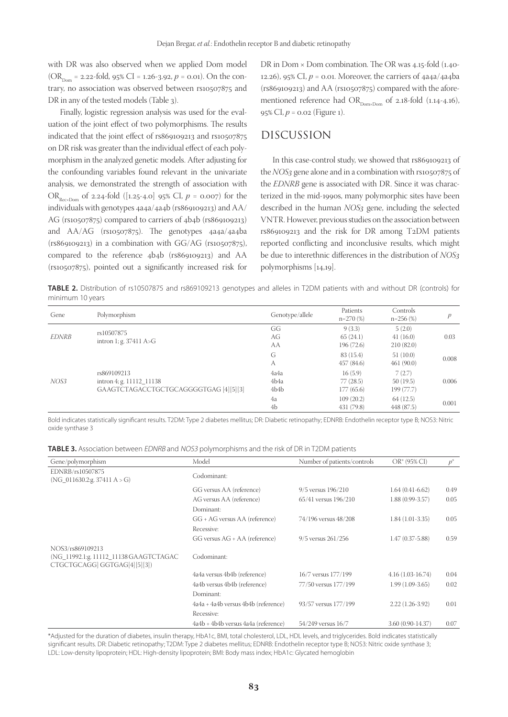with DR was also observed when we applied Dom model (OR<sub>Dom</sub> = 2.22-fold, 95% CI = 1.26-3.92,  $p = 0.01$ ). On the contrary, no association was observed between rs10507875 and DR in any of the tested models (Table 3).

Finally, logistic regression analysis was used for the evaluation of the joint effect of two polymorphisms. The results indicated that the joint effect of rs869109213 and rs10507875 on DR risk was greater than the individual effect of each polymorphism in the analyzed genetic models. After adjusting for the confounding variables found relevant in the univariate analysis, we demonstrated the strength of association with OR<sub>Rec×Dom</sub> of 2.24-fold ([1.25-4.0] 95% CI,  $p = 0.007$ ) for the individuals with genotypes 4a4a/4a4b (rs869109213) and AA/ AG (rs10507875) compared to carriers of 4b4b (rs869109213) and AA/AG (rs10507875). The genotypes 4a4a/4a4ba  $(rs869109213)$  in a combination with  $GG/AG$   $(rs10507875)$ , compared to the reference 4b4b (rs869109213) and AA (rs10507875), pointed out a significantly increased risk for

DR in Dom  $\times$  Dom combination. The OR was 4.15-fold (1.40-12.26), 95% CI,  $p = 0.01$ . Moreover, the carriers of  $4a4a/4a4ba$ (rs869109213) and AA (rs10507875) compared with the aforementioned reference had  $OR_{\text{Dom} \times \text{Dom}}$  of 2.18-fold (1.14-4.16), 95% CI, *p* = 0.02 (Figure 1).

# DISCUSSION

In this case-control study, we showed that rs869109213 of the *NOS3* gene alone and in a combination with rs10507875 of the *EDNRB* gene is associated with DR. Since it was characterized in the mid-1990s, many polymorphic sites have been described in the human *NOS3* gene, including the selected VNTR. However, previous studies on the association between rs869109213 and the risk for DR among T2DM patients reported conflicting and inconclusive results, which might be due to interethnic differences in the distribution of *NOS3* polymorphisms [14,19].

**TABLE 2.** Distribution of rs10507875 and rs869109213 genotypes and alleles in T2DM patients with and without DR (controls) for minimum 10 years

| Gene         | Polymorphism                                                                     | Genotype/allele                   | Patients<br>$n=270(%)$           | Controls<br>$n=256$ (%)          | p     |
|--------------|----------------------------------------------------------------------------------|-----------------------------------|----------------------------------|----------------------------------|-------|
| <b>EDNRB</b> | rs10507875<br>intron 1; g. $37411$ A>G                                           | GG<br>AG<br>AA                    | 9(3.3)<br>65(24.1)<br>196(72.6)  | 5(2.0)<br>41(16.0)<br>210(82.0)  | 0.03  |
|              |                                                                                  | G<br>А                            | 83 (15.4)<br>457 (84.6)          | 51(10.0)<br>461(90.0)            | 0.008 |
| NOS3         | rs869109213<br>intron 4; g. 11112 11138<br>GAAGTCTAGACCTGCTGCAGGGGTGAG [4][5][3] | 4a4a<br>4b4a<br>4b <sub>4</sub> b | 16(5.9)<br>77(28.5)<br>177(65.6) | 7(2.7)<br>50(19.5)<br>199 (77.7) | 0.006 |
|              |                                                                                  | 4a<br>4b                          | 109(20.2)<br>431 (79.8)          | 64(12.5)<br>448 (87.5)           | 0.001 |

Bold indicates statistically significant results. T2DM: Type 2 diabetes mellitus; DR: Diabetic retinopathy; EDNRB: Endothelin receptor type B; NOS3: Nitric oxide synthase 3

| Gene/polymorphism                                                                         | Model                               | Number of patients/controls | $OR^*$ (95% CI)     | $p^*$ |
|-------------------------------------------------------------------------------------------|-------------------------------------|-----------------------------|---------------------|-------|
| EDNRB/rs10507875<br>(NG 011630.2:g. 37411 $A > G$ )                                       | Codominant:                         |                             |                     |       |
|                                                                                           | GG versus AA (reference)            | $9/5$ versus $196/210$      | $1.64(0.41-6.62)$   | 0.49  |
|                                                                                           | AG versus AA (reference)            | 65/41 versus 196/210        | $1.88(0.99-3.57)$   | 0.05  |
|                                                                                           | Dominant:                           |                             |                     |       |
|                                                                                           | GG + AG versus AA (reference)       | 74/196 versus 48/208        | $1.84(1.01-3.35)$   | 0.05  |
|                                                                                           | Recessive:                          |                             |                     |       |
|                                                                                           | GG versus AG + AA (reference)       | 9/5 versus 261/256          | $1.47(0.37 - 5.88)$ | 0.59  |
| NOS3/rs869109213<br>(NG_11992.1:g. 11112_11138 GAAGTCTAGAC<br>CTGCTGCAGG GGTGAG[4][5][3]) | Codominant:                         |                             |                     |       |
|                                                                                           | 4a4a versus 4b4b (reference)        | 16/7 versus 177/199         | $4.16(1.03-16.74)$  | 0.04  |
|                                                                                           | 4a4b versus 4b4b (reference)        | 77/50 versus 177/199        | $1.99(1.09-3.65)$   | 0.02  |
|                                                                                           | Dominant:                           |                             |                     |       |
|                                                                                           | 4a4a + 4a4b versus 4b4b (reference) | 93/57 versus 177/199        | $2.22(1.26-3.92)$   | 0.01  |
|                                                                                           | Recessive:                          |                             |                     |       |
|                                                                                           | 4a4b + 4b4b versus 4a4a (reference) | 54/249 versus 16/7          | $3.60(0.90-14.37)$  | 0.07  |

\*Adjusted for the duration of diabetes, insulin therapy, HbA1c, BMI, total cholesterol, LDL, HDL levels, and triglycerides. Bold indicates statistically significant results. DR: Diabetic retinopathy; T2DM: Type 2 diabetes mellitus; EDNRB: Endothelin receptor type B; NOS3: Nitric oxide synthase 3; LDL: Low-density lipoprotein; HDL: High-density lipoprotein; BMI: Body mass index; HbA1c: Glycated hemoglobin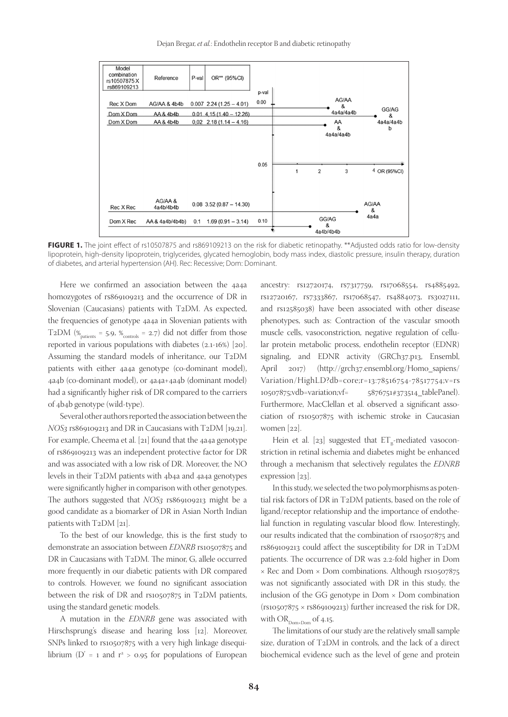Dejan Bregar, *et al.*: Endothelin receptor B and diabetic retinopathy



FIGURE 1. The joint effect of rs10507875 and rs869109213 on the risk for diabetic retinopathy. \*\*Adjusted odds ratio for low-density lipoprotein, high-density lipoprotein, triglycerides, glycated hemoglobin, body mass index, diastolic pressure, insulin therapy, duration of diabetes, and arterial hypertension (AH). Rec: Recessive; Dom: Dominant.

Here we confirmed an association between the 4a4a homozygotes of rs869109213 and the occurrence of DR in Slovenian (Caucasians) patients with T2DM. As expected, the frequencies of genotype 4a4a in Slovenian patients with T2DM ( $\%$ <sub>patients</sub> = 5.9,  $\%$ <sub>controls</sub> = 2.7) did not differ from those reported in various populations with diabetes (2.1-16%) [20]. Assuming the standard models of inheritance, our T2DM patients with either 4a4a genotype (co-dominant model), 4a4b (co-dominant model), or 4a4a+4a4b (dominant model) had a significantly higher risk of DR compared to the carriers of 4b4b genotype (wild-type).

Several other authors reported the association between the *NOS3* rs869109213 and DR in Caucasians with T2DM [19,21]. For example, Cheema et al. [21] found that the 4a4a genotype of rs869109213 was an independent protective factor for DR and was associated with a low risk of DR. Moreover, the NO levels in their T2DM patients with 4b4a and 4a4a genotypes were significantly higher in comparison with other genotypes. The authors suggested that *NOS3* rs869109213 might be a good candidate as a biomarker of DR in Asian North Indian patients with T2DM [21].

To the best of our knowledge, this is the first study to demonstrate an association between *EDNRB* rs10507875 and DR in Caucasians with T2DM. The minor, G, allele occurred more frequently in our diabetic patients with DR compared to controls. However, we found no significant association between the risk of DR and rs10507875 in T2DM patients, using the standard genetic models.

A mutation in the *EDNRB* gene was associated with Hirschsprung's disease and hearing loss [12]. Moreover, SNPs linked to rs10507875 with a very high linkage disequilibrium (D' = 1 and  $r^2 > 0.95$  for populations of European ancestry: rs12720174, rs7317759, rs17068554, rs4885492, rs12720167, rs7333867, rs17068547, rs4884073, rs3027111, and rs12585038) have been associated with other disease phenotypes, such as: Contraction of the vascular smooth muscle cells, vasoconstriction, negative regulation of cellular protein metabolic process, endothelin receptor (EDNR) signaling, and EDNR activity (GRCh37.p13, Ensembl, April 2017) (http://grch37.ensembl.org/Homo\_sapiens/ Variation/HighLD?db=core;r=13:78516754-78517754;v=rs 10507875;vdb=variation;vf= 5876751#373514\_tablePanel). Furthermore, MacClellan et al. observed a significant association of rs10507875 with ischemic stroke in Caucasian women [22].

Hein et al. [23] suggested that  $ET_{B}$ -mediated vasoconstriction in retinal ischemia and diabetes might be enhanced through a mechanism that selectively regulates the *EDNRB* expression [23].

In this study, we selected the two polymorphisms as potential risk factors of DR in T2DM patients, based on the role of ligand/receptor relationship and the importance of endothelial function in regulating vascular blood flow. Interestingly, our results indicated that the combination of rs10507875 and rs869109213 could affect the susceptibility for DR in T2DM patients. The occurrence of DR was 2.2-fold higher in Dom × Rec and Dom × Dom combinations. Although rs10507875 was not significantly associated with DR in this study, the inclusion of the GG genotype in  $Dom \times Dom$  combination  $(rs10507875 \times rs869109213)$  further increased the risk for DR, with  $OR_{\text{Down}\text{-}\text{Dom}}$  of 4.15.

The limitations of our study are the relatively small sample size, duration of T2DM in controls, and the lack of a direct biochemical evidence such as the level of gene and protein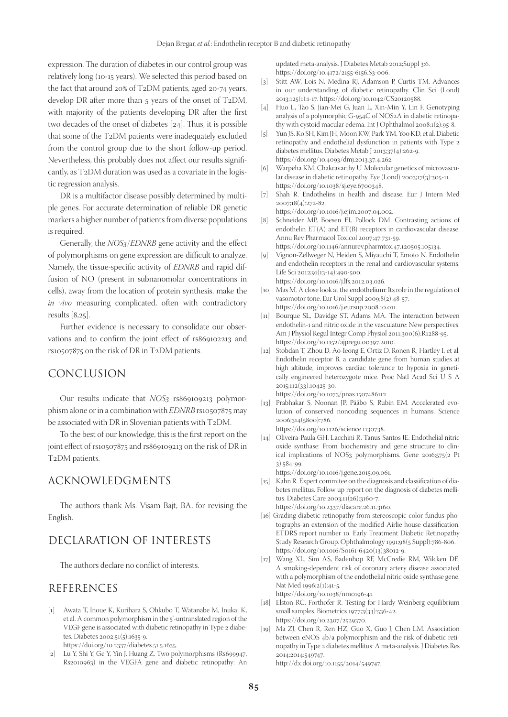expression. The duration of diabetes in our control group was relatively long (10-15 years). We selected this period based on the fact that around 20% of T2DM patients, aged 20-74 years, develop DR after more than 5 years of the onset of T2DM, with majority of the patients developing DR after the first two decades of the onset of diabetes [24]. Thus, it is possible that some of the T2DM patients were inadequately excluded from the control group due to the short follow-up period. Nevertheless, this probably does not affect our results significantly, as T2DM duration was used as a covariate in the logistic regression analysis.

DR is a multifactor disease possibly determined by multiple genes. For accurate determination of reliable DR genetic markers a higher number of patients from diverse populations is required.

Generally, the *NOS3*/*EDNRB* gene activity and the effect of polymorphisms on gene expression are difficult to analyze. Namely, the tissue-specific activity of *EDNRB* and rapid diffusion of NO (present in subnanomolar concentrations in cells), away from the location of protein synthesis, make the *in vivo* measuring complicated, often with contradictory results [8,25].

Further evidence is necessary to consolidate our observations and to confirm the joint effect of rs869102213 and rs10507875 on the risk of DR in T2DM patients.

# CONCLUSION

Our results indicate that *NOS3* rs869109213 polymorphism alone or in a combination with *EDNRB* rs10507875 may be associated with DR in Slovenian patients with T2DM.

To the best of our knowledge, this is the first report on the joint effect of rs10507875 and rs869109213 on the risk of DR in T2DM patients.

## ACKNOWLEDGMENTS

The authors thank Ms. Visam Bajt, BA, for revising the English.

# DECLARATION OF INTERESTS

The authors declare no conflict of interests.

## REFERENCES

[1] Awata T, Inoue K, Kurihara S, Ohkubo T, Watanabe M, Inukai K, et al. A common polymorphism in the 5'-untranslated region of the VEGF gene is associated with diabetic retinopathy in Type 2 diabetes. Diabetes 2002;51(5):1635-9.

https://doi.org/10.2337/diabetes.51.5.1635.

[2] Lu Y, Shi Y, Ge Y, Yin J, Huang Z. Two polymorphisms (Rs699947, Rs2010963) in the VEGFA gene and diabetic retinopathy: An

updated meta-analysis. J Diabetes Metab 2012;Suppl 3:6. https://doi.org/10.4172/2155-6156.S3-006.

- [3] Stitt AW, Lois N, Medina RJ, Adamson P, Curtis TM. Advances in our understanding of diabetic retinopathy. Clin Sci (Lond) 2013;125(1):1-17. https://doi.org/10.1042/CS20120588.
- [4] Huo L, Tao S, Jian-Mei G, Juan L, Xin-Min Y, Lin F. Genotyping analysis of a polymorphic G-954C of NOS2A in diabetic retinopathy with cystoid macular edema. Int J Ophthalmol 2008;1(2):95-8.
- [5] Yun JS, Ko SH, Kim JH, Moon KW, Park YM, Yoo KD, et al. Diabetic retinopathy and endothelial dysfunction in patients with Type 2 diabetes mellitus. Diabetes Metab J 2013;37(4):262-9. https://doi.org/10.4093/dmj.2013.37.4.262.
- [6] Warpeha KM, Chakravarthy U. Molecular genetics of microvascular disease in diabetic retinopathy. Eye (Lond) 2003;17(3):305-11. https://doi.org/10.1038/sj.eye.6700348.
- [7] Shah R. Endothelins in health and disease. Eur J Intern Med 2007;18(4):272-82. https://doi.org/10.1016/j.ejim.2007.04.002.
- [8] Schneider MP, Boesen EI, Pollock DM. Contrasting actions of endothelin ET(A) and ET(B) receptors in cardiovascular disease. Annu Rev Pharmacol Toxicol 2007;47:731-59.

https://doi.org/10.1146/annurev.pharmtox.47.120505.105134.

- Vignon-Zellweger N, Heiden S, Miyauchi T, Emoto N. Endothelin and endothelin receptors in the renal and cardiovascular systems. Life Sci 2012;91(13-14):490-500. https://doi.org/10.1016/j.lfs.2012.03.026.
- [10] Mas M. A close look at the endothelium: Its role in the regulation of vasomotor tone. Eur Urol Suppl 2009;8(2):48-57. https://doi.org/10.1016/j.eursup.2008.10.011.
- [11] Bourque SL, Davidge ST, Adams MA. The interaction between endothelin-1 and nitric oxide in the vasculature: New perspectives. Am J Physiol Regul Integr Comp Physiol 2011;300(6):R1288-95. https://doi.org/10.1152/ajpregu.00397.2010.
- [12] Stobdan T, Zhou D, Ao-Ieong E, Ortiz D, Ronen R, Hartley I, et al. Endothelin receptor B, a candidate gene from human studies at high altitude, improves cardiac tolerance to hypoxia in genetically engineered heterozygote mice. Proc Natl Acad Sci U S A 2015;112(33):10425-30.

https://doi.org/10.1073/pnas.1507486112.

[13] Prabhakar S, Noonan JP, Pääbo S, Rubin EM. Accelerated evolution of conserved noncoding sequences in humans. Science 2006;314(5800):786.

https://doi.org/10.1126/science.1130738.

[14] Oliveira-Paula GH, Lacchini R, Tanus-Santos JE. Endothelial nitric oxide synthase: From biochemistry and gene structure to clinical implications of NOS3 polymorphisms. Gene 2016;575(2 Pt 3):584-99.

https://doi.org/10.1016/j.gene.2015.09.061.

- [15] Kahn R. Expert commitee on the diagnosis and classification of diabetes mellitus. Follow up report on the diagnosis of diabetes mellitus. Diabetes Care 2003;11(26):3160-7. https://doi.org/10.2337/diacare.26.11.3160.
- [16] Grading diabetic retinopathy from stereoscopic color fundus photographs-an extension of the modified Airlie house classification. ETDRS report number 10. Early Treatment Diabetic Retinopathy Study Research Group. Ophthalmology 1991;98(5 Suppl):786-806. https://doi.org/10.1016/S0161-6420(13)38012-9.
- [17] Wang XL, Sim AS, Badenhop RF, McCredie RM, Wilcken DE. A smoking-dependent risk of coronary artery disease associated with a polymorphism of the endothelial nitric oxide synthase gene. Nat Med 1996;2(1):41-5. https://doi.org/10.1038/nm0196-41.
- [18] Elston RC, Forthofer R. Testing for Hardy-Weinberg equilibrium small samples. Biometrics 1977;3(33):536-42. https://doi.org/10.2307/2529370.
- [19] Ma ZJ, Chen R, Ren HZ, Guo X, Guo J, Chen LM. Association between eNOS 4b/a polymorphism and the risk of diabetic retinopathy in Type 2 diabetes mellitus: A meta-analysis. J Diabetes Res 2014;2014:549747. http://dx.doi.org/10.1155/2014/549747.